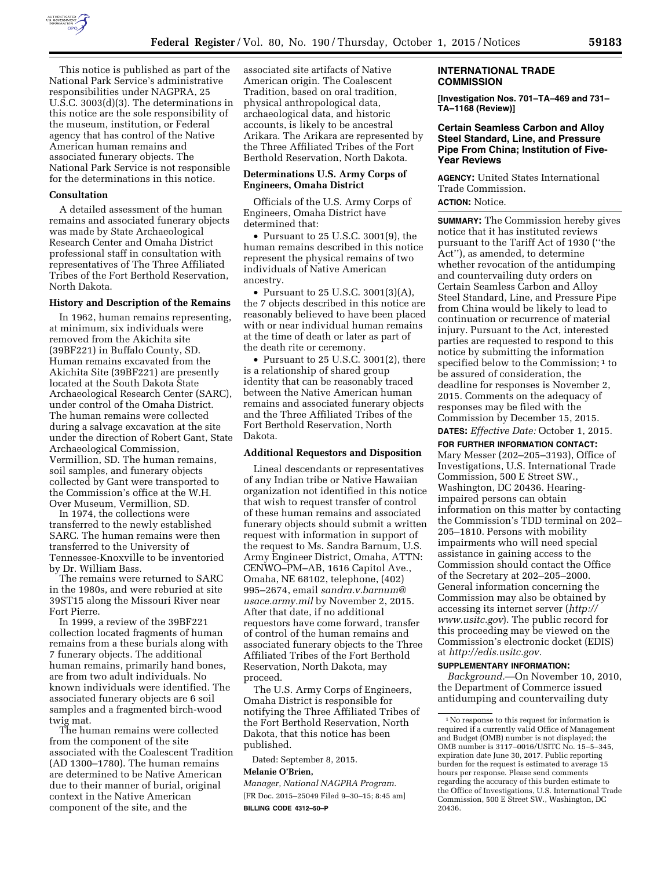

This notice is published as part of the National Park Service's administrative responsibilities under NAGPRA, 25 U.S.C. 3003(d)(3). The determinations in this notice are the sole responsibility of the museum, institution, or Federal agency that has control of the Native American human remains and associated funerary objects. The National Park Service is not responsible for the determinations in this notice.

### **Consultation**

A detailed assessment of the human remains and associated funerary objects was made by State Archaeological Research Center and Omaha District professional staff in consultation with representatives of The Three Affiliated Tribes of the Fort Berthold Reservation, North Dakota.

#### **History and Description of the Remains**

In 1962, human remains representing, at minimum, six individuals were removed from the Akichita site (39BF221) in Buffalo County, SD. Human remains excavated from the Akichita Site (39BF221) are presently located at the South Dakota State Archaeological Research Center (SARC), under control of the Omaha District. The human remains were collected during a salvage excavation at the site under the direction of Robert Gant, State Archaeological Commission, Vermillion, SD. The human remains, soil samples, and funerary objects collected by Gant were transported to the Commission's office at the W.H. Over Museum, Vermillion, SD.

In 1974, the collections were transferred to the newly established SARC. The human remains were then transferred to the University of Tennessee-Knoxville to be inventoried by Dr. William Bass.

The remains were returned to SARC in the 1980s, and were reburied at site 39ST15 along the Missouri River near Fort Pierre.

In 1999, a review of the 39BF221 collection located fragments of human remains from a these burials along with 7 funerary objects. The additional human remains, primarily hand bones, are from two adult individuals. No known individuals were identified. The associated funerary objects are 6 soil samples and a fragmented birch-wood twig mat.

The human remains were collected from the component of the site associated with the Coalescent Tradition (AD 1300–1780). The human remains are determined to be Native American due to their manner of burial, original context in the Native American component of the site, and the

associated site artifacts of Native American origin. The Coalescent Tradition, based on oral tradition, physical anthropological data, archaeological data, and historic accounts, is likely to be ancestral Arikara. The Arikara are represented by the Three Affiliated Tribes of the Fort Berthold Reservation, North Dakota.

# **Determinations U.S. Army Corps of Engineers, Omaha District**

Officials of the U.S. Army Corps of Engineers, Omaha District have determined that:

• Pursuant to 25 U.S.C. 3001(9), the human remains described in this notice represent the physical remains of two individuals of Native American ancestry.

• Pursuant to 25 U.S.C. 3001(3)(A), the 7 objects described in this notice are reasonably believed to have been placed with or near individual human remains at the time of death or later as part of the death rite or ceremony.

• Pursuant to 25 U.S.C. 3001(2), there is a relationship of shared group identity that can be reasonably traced between the Native American human remains and associated funerary objects and the Three Affiliated Tribes of the Fort Berthold Reservation, North Dakota.

#### **Additional Requestors and Disposition**

Lineal descendants or representatives of any Indian tribe or Native Hawaiian organization not identified in this notice that wish to request transfer of control of these human remains and associated funerary objects should submit a written request with information in support of the request to Ms. Sandra Barnum, U.S. Army Engineer District, Omaha, ATTN: CENWO–PM–AB, 1616 Capitol Ave., Omaha, NE 68102, telephone, (402) 995–2674, email *[sandra.v.barnum@](mailto:sandra.v.barnum@usace.army.mil) [usace.army.mil](mailto:sandra.v.barnum@usace.army.mil)* by November 2, 2015. After that date, if no additional requestors have come forward, transfer of control of the human remains and associated funerary objects to the Three Affiliated Tribes of the Fort Berthold Reservation, North Dakota, may proceed.

The U.S. Army Corps of Engineers, Omaha District is responsible for notifying the Three Affiliated Tribes of the Fort Berthold Reservation, North Dakota, that this notice has been published.

Dated: September 8, 2015.

# **Melanie O'Brien,**

*Manager, National NAGPRA Program.*  [FR Doc. 2015–25049 Filed 9–30–15; 8:45 am] **BILLING CODE 4312–50–P** 

#### **INTERNATIONAL TRADE COMMISSION**

**[Investigation Nos. 701–TA–469 and 731– TA–1168 (Review)]** 

### **Certain Seamless Carbon and Alloy Steel Standard, Line, and Pressure Pipe From China; Institution of Five-Year Reviews**

**AGENCY:** United States International Trade Commission. **ACTION:** Notice.

**SUMMARY:** The Commission hereby gives notice that it has instituted reviews pursuant to the Tariff Act of 1930 (''the Act''), as amended, to determine whether revocation of the antidumping and countervailing duty orders on Certain Seamless Carbon and Alloy Steel Standard, Line, and Pressure Pipe from China would be likely to lead to continuation or recurrence of material injury. Pursuant to the Act, interested parties are requested to respond to this notice by submitting the information specified below to the Commission;<sup>1</sup> to be assured of consideration, the deadline for responses is November 2, 2015. Comments on the adequacy of responses may be filed with the Commission by December 15, 2015.

**DATES:** *Effective Date:* October 1, 2015.

**FOR FURTHER INFORMATION CONTACT:**  Mary Messer (202–205–3193), Office of Investigations, U.S. International Trade Commission, 500 E Street SW., Washington, DC 20436. Hearingimpaired persons can obtain information on this matter by contacting the Commission's TDD terminal on 202– 205–1810. Persons with mobility impairments who will need special assistance in gaining access to the Commission should contact the Office of the Secretary at 202–205–2000. General information concerning the Commission may also be obtained by accessing its internet server (*[http://](http://www.usitc.gov) [www.usitc.gov](http://www.usitc.gov)*). The public record for this proceeding may be viewed on the Commission's electronic docket (EDIS) at *[http://edis.usitc.gov.](http://edis.usitc.gov)* 

#### **SUPPLEMENTARY INFORMATION:**

*Background.*—On November 10, 2010, the Department of Commerce issued antidumping and countervailing duty

<sup>1</sup>No response to this request for information is required if a currently valid Office of Management and Budget (OMB) number is not displayed; the OMB number is 3117–0016/USITC No. 15–5–345, expiration date June 30, 2017. Public reporting burden for the request is estimated to average 15 hours per response. Please send comments regarding the accuracy of this burden estimate to the Office of Investigations, U.S. International Trade Commission, 500 E Street SW., Washington, DC 20436.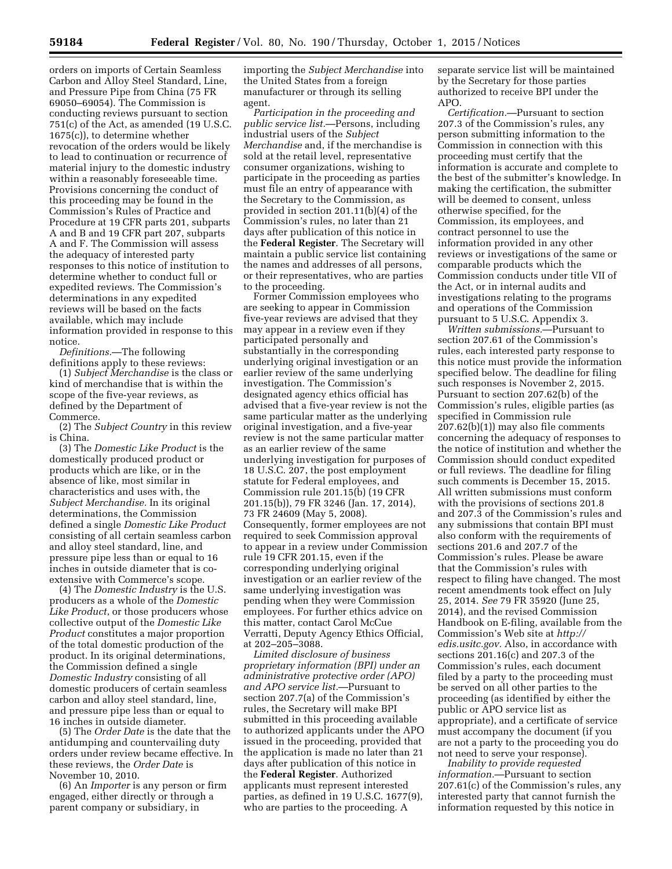orders on imports of Certain Seamless Carbon and Alloy Steel Standard, Line, and Pressure Pipe from China (75 FR 69050–69054). The Commission is conducting reviews pursuant to section 751(c) of the Act, as amended (19 U.S.C. 1675(c)), to determine whether revocation of the orders would be likely to lead to continuation or recurrence of material injury to the domestic industry within a reasonably foreseeable time. Provisions concerning the conduct of this proceeding may be found in the Commission's Rules of Practice and Procedure at 19 CFR parts 201, subparts A and B and 19 CFR part 207, subparts A and F. The Commission will assess the adequacy of interested party responses to this notice of institution to determine whether to conduct full or expedited reviews. The Commission's determinations in any expedited reviews will be based on the facts available, which may include information provided in response to this notice.

*Definitions.*—The following definitions apply to these reviews:

(1) *Subject Merchandise* is the class or kind of merchandise that is within the scope of the five-year reviews, as defined by the Department of Commerce.

(2) The *Subject Country* in this review is China.

(3) The *Domestic Like Product* is the domestically produced product or products which are like, or in the absence of like, most similar in characteristics and uses with, the *Subject Merchandise.* In its original determinations, the Commission defined a single *Domestic Like Product*  consisting of all certain seamless carbon and alloy steel standard, line, and pressure pipe less than or equal to 16 inches in outside diameter that is coextensive with Commerce's scope.

(4) The *Domestic Industry* is the U.S. producers as a whole of the *Domestic Like Product*, or those producers whose collective output of the *Domestic Like Product* constitutes a major proportion of the total domestic production of the product. In its original determinations, the Commission defined a single *Domestic Industry* consisting of all domestic producers of certain seamless carbon and alloy steel standard, line, and pressure pipe less than or equal to 16 inches in outside diameter.

(5) The *Order Date* is the date that the antidumping and countervailing duty orders under review became effective. In these reviews, the *Order Date* is November 10, 2010.

(6) An *Importer* is any person or firm engaged, either directly or through a parent company or subsidiary, in

importing the *Subject Merchandise* into the United States from a foreign manufacturer or through its selling agent.

*Participation in the proceeding and public service list.*—Persons, including industrial users of the *Subject Merchandise* and, if the merchandise is sold at the retail level, representative consumer organizations, wishing to participate in the proceeding as parties must file an entry of appearance with the Secretary to the Commission, as provided in section 201.11(b)(4) of the Commission's rules, no later than 21 days after publication of this notice in the **Federal Register**. The Secretary will maintain a public service list containing the names and addresses of all persons, or their representatives, who are parties to the proceeding.

Former Commission employees who are seeking to appear in Commission five-year reviews are advised that they may appear in a review even if they participated personally and substantially in the corresponding underlying original investigation or an earlier review of the same underlying investigation. The Commission's designated agency ethics official has advised that a five-year review is not the same particular matter as the underlying original investigation, and a five-year review is not the same particular matter as an earlier review of the same underlying investigation for purposes of 18 U.S.C. 207, the post employment statute for Federal employees, and Commission rule 201.15(b) (19 CFR 201.15(b)), 79 FR 3246 (Jan. 17, 2014), 73 FR 24609 (May 5, 2008). Consequently, former employees are not required to seek Commission approval to appear in a review under Commission rule 19 CFR 201.15, even if the corresponding underlying original investigation or an earlier review of the same underlying investigation was pending when they were Commission employees. For further ethics advice on this matter, contact Carol McCue Verratti, Deputy Agency Ethics Official, at 202–205–3088.

*Limited disclosure of business proprietary information (BPI) under an administrative protective order (APO) and APO service list.*—Pursuant to section 207.7(a) of the Commission's rules, the Secretary will make BPI submitted in this proceeding available to authorized applicants under the APO issued in the proceeding, provided that the application is made no later than 21 days after publication of this notice in the **Federal Register**. Authorized applicants must represent interested parties, as defined in 19 U.S.C. 1677(9), who are parties to the proceeding. A

separate service list will be maintained by the Secretary for those parties authorized to receive BPI under the APO.

*Certification.*—Pursuant to section 207.3 of the Commission's rules, any person submitting information to the Commission in connection with this proceeding must certify that the information is accurate and complete to the best of the submitter's knowledge. In making the certification, the submitter will be deemed to consent, unless otherwise specified, for the Commission, its employees, and contract personnel to use the information provided in any other reviews or investigations of the same or comparable products which the Commission conducts under title VII of the Act, or in internal audits and investigations relating to the programs and operations of the Commission pursuant to 5 U.S.C. Appendix 3.

*Written submissions.*—Pursuant to section 207.61 of the Commission's rules, each interested party response to this notice must provide the information specified below. The deadline for filing such responses is November 2, 2015. Pursuant to section 207.62(b) of the Commission's rules, eligible parties (as specified in Commission rule 207.62(b)(1)) may also file comments concerning the adequacy of responses to the notice of institution and whether the Commission should conduct expedited or full reviews. The deadline for filing such comments is December 15, 2015. All written submissions must conform with the provisions of sections 201.8 and 207.3 of the Commission's rules and any submissions that contain BPI must also conform with the requirements of sections 201.6 and 207.7 of the Commission's rules. Please be aware that the Commission's rules with respect to filing have changed. The most recent amendments took effect on July 25, 2014. *See* 79 FR 35920 (June 25, 2014), and the revised Commission Handbook on E-filing, available from the Commission's Web site at *[http://](http://edis.usitc.gov) [edis.usitc.gov.](http://edis.usitc.gov)* Also, in accordance with sections 201.16(c) and 207.3 of the Commission's rules, each document filed by a party to the proceeding must be served on all other parties to the proceeding (as identified by either the public or APO service list as appropriate), and a certificate of service must accompany the document (if you are not a party to the proceeding you do not need to serve your response).

*Inability to provide requested information.*—Pursuant to section 207.61(c) of the Commission's rules, any interested party that cannot furnish the information requested by this notice in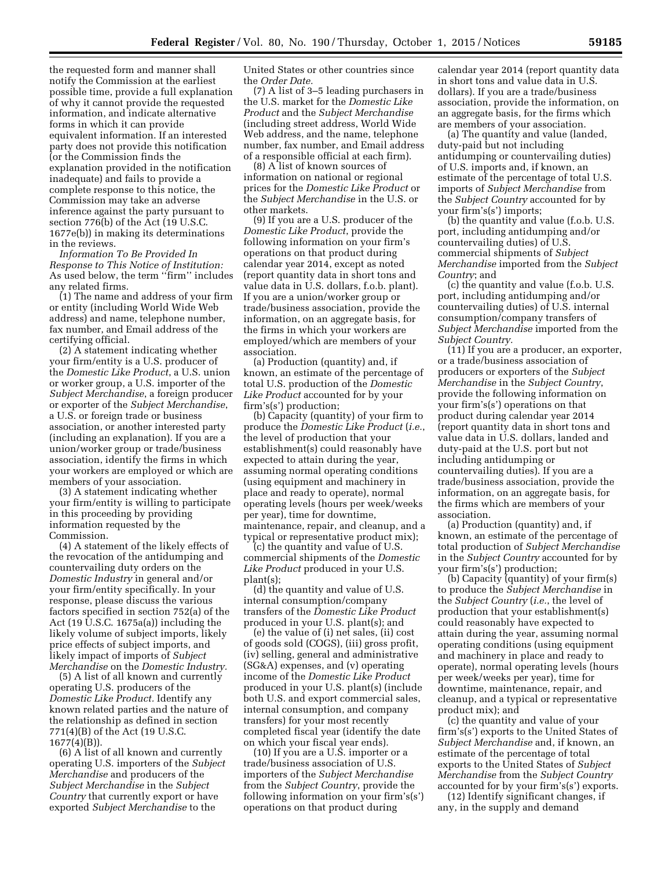the requested form and manner shall notify the Commission at the earliest possible time, provide a full explanation of why it cannot provide the requested information, and indicate alternative forms in which it can provide equivalent information. If an interested party does not provide this notification (or the Commission finds the explanation provided in the notification inadequate) and fails to provide a complete response to this notice, the Commission may take an adverse inference against the party pursuant to section 776(b) of the Act (19 U.S.C. 1677e(b)) in making its determinations in the reviews.

*Information To Be Provided In Response to This Notice of Institution:*  As used below, the term ''firm'' includes any related firms.

(1) The name and address of your firm or entity (including World Wide Web address) and name, telephone number, fax number, and Email address of the certifying official.

(2) A statement indicating whether your firm/entity is a U.S. producer of the *Domestic Like Product*, a U.S. union or worker group, a U.S. importer of the *Subject Merchandise*, a foreign producer or exporter of the *Subject Merchandise*, a U.S. or foreign trade or business association, or another interested party (including an explanation). If you are a union/worker group or trade/business association, identify the firms in which your workers are employed or which are members of your association.

(3) A statement indicating whether your firm/entity is willing to participate in this proceeding by providing information requested by the Commission.

(4) A statement of the likely effects of the revocation of the antidumping and countervailing duty orders on the *Domestic Industry* in general and/or your firm/entity specifically. In your response, please discuss the various factors specified in section 752(a) of the Act (19 U.S.C. 1675a(a)) including the likely volume of subject imports, likely price effects of subject imports, and likely impact of imports of *Subject Merchandise* on the *Domestic Industry.* 

(5) A list of all known and currently operating U.S. producers of the *Domestic Like Product.* Identify any known related parties and the nature of the relationship as defined in section 771(4)(B) of the Act (19 U.S.C.  $1677(4)(B)$ ).

(6) A list of all known and currently operating U.S. importers of the *Subject Merchandise* and producers of the *Subject Merchandise* in the *Subject Country* that currently export or have exported *Subject Merchandise* to the

United States or other countries since the *Order Date.* 

(7) A list of 3–5 leading purchasers in the U.S. market for the *Domestic Like Product* and the *Subject Merchandise*  (including street address, World Wide Web address, and the name, telephone number, fax number, and Email address of a responsible official at each firm).

(8) A list of known sources of information on national or regional prices for the *Domestic Like Product* or the *Subject Merchandise* in the U.S. or other markets.

(9) If you are a U.S. producer of the *Domestic Like Product*, provide the following information on your firm's operations on that product during calendar year 2014, except as noted (report quantity data in short tons and value data in U.S. dollars, f.o.b. plant). If you are a union/worker group or trade/business association, provide the information, on an aggregate basis, for the firms in which your workers are employed/which are members of your association.

(a) Production (quantity) and, if known, an estimate of the percentage of total U.S. production of the *Domestic Like Product* accounted for by your firm's(s') production;

(b) Capacity (quantity) of your firm to produce the *Domestic Like Product* (*i.e.*, the level of production that your establishment(s) could reasonably have expected to attain during the year, assuming normal operating conditions (using equipment and machinery in place and ready to operate), normal operating levels (hours per week/weeks per year), time for downtime, maintenance, repair, and cleanup, and a typical or representative product mix);

(c) the quantity and value of U.S. commercial shipments of the *Domestic Like Product* produced in your U.S. plant(s);

(d) the quantity and value of U.S. internal consumption/company transfers of the *Domestic Like Product*  produced in your U.S. plant(s); and

(e) the value of (i) net sales, (ii) cost of goods sold (COGS), (iii) gross profit, (iv) selling, general and administrative (SG&A) expenses, and (v) operating income of the *Domestic Like Product*  produced in your U.S. plant(s) (include both U.S. and export commercial sales, internal consumption, and company transfers) for your most recently completed fiscal year (identify the date on which your fiscal year ends).

(10) If you are a U.S. importer or a trade/business association of U.S. importers of the *Subject Merchandise*  from the *Subject Country*, provide the following information on your firm's(s') operations on that product during

calendar year 2014 (report quantity data in short tons and value data in U.S. dollars). If you are a trade/business association, provide the information, on an aggregate basis, for the firms which are members of your association.

(a) The quantity and value (landed, duty-paid but not including antidumping or countervailing duties) of U.S. imports and, if known, an estimate of the percentage of total U.S. imports of *Subject Merchandise* from the *Subject Country* accounted for by your firm's(s') imports;

(b) the quantity and value (f.o.b. U.S. port, including antidumping and/or countervailing duties) of U.S. commercial shipments of *Subject Merchandise* imported from the *Subject Country*; and

(c) the quantity and value (f.o.b. U.S. port, including antidumping and/or countervailing duties) of U.S. internal consumption/company transfers of *Subject Merchandise* imported from the *Subject Country.* 

(11) If you are a producer, an exporter, or a trade/business association of producers or exporters of the *Subject Merchandise* in the *Subject Country*, provide the following information on your firm's(s') operations on that product during calendar year 2014 (report quantity data in short tons and value data in U.S. dollars, landed and duty-paid at the U.S. port but not including antidumping or countervailing duties). If you are a trade/business association, provide the information, on an aggregate basis, for the firms which are members of your association.

(a) Production (quantity) and, if known, an estimate of the percentage of total production of *Subject Merchandise*  in the *Subject Country* accounted for by your firm's(s') production;

(b) Capacity (quantity) of your firm(s) to produce the *Subject Merchandise* in the *Subject Country* (*i.e.*, the level of production that your establishment(s) could reasonably have expected to attain during the year, assuming normal operating conditions (using equipment and machinery in place and ready to operate), normal operating levels (hours per week/weeks per year), time for downtime, maintenance, repair, and cleanup, and a typical or representative product mix); and

(c) the quantity and value of your firm's(s') exports to the United States of *Subject Merchandise* and, if known, an estimate of the percentage of total exports to the United States of *Subject Merchandise* from the *Subject Country*  accounted for by your firm's(s') exports.

(12) Identify significant changes, if any, in the supply and demand